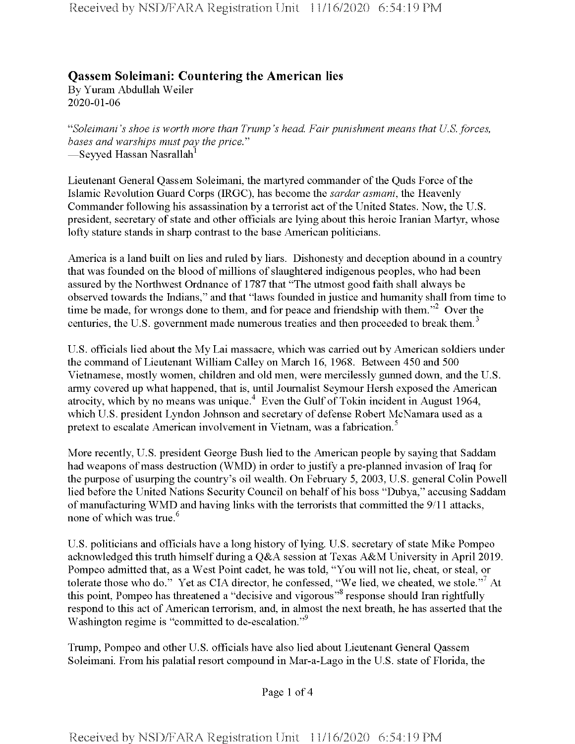## **Qassem Soleimani: Countering the American lies**

By Yuram Abdullah Weiler 2020-01-06

"*Soleimani's shoe is worth more than Trump's head. Fair punishment means that U.S. forces, bases and warships mustpay the price."* —Seyyed Hassan Nasrallah<sup>1</sup>

Lieutenant General Qassem Soleimani, the martyred commander ofthe Quds Force ofthe Islamic Revolution Guard Corps (IRGC), has become the *sardar asmani,* the Heavenly Commander following his assassination by a terrorist act of the United States. Now, the U.S. president, secretary of state and other officials are lying about this heroic Iranian Martyr, whose lofty stature stands in sharp contrast to the base American politicians.

America is a land built on lies and ruled by liars. Dishonesty and deception abound in a country that was founded on the blood of millions of slaughtered indigenous peoples, who had been assured by the Northwest Ordnance of 1787 that "The utmost good faith shall always be observed towards the Indians," and that "laws founded in justice and humanity shall from time to time be made, for wrongs done to them, and for peace and friendship with them."<sup>2</sup> Over the centuries, the U.S. government made numerous treaties and then proceeded to break them.<sup>3</sup>

U.S. officials lied about the My Lai massacre, which was carried out by American soldiers under the command of Lieutenant William Calley on March 16, 1968. Between 450 and 500 Vietnamese, mostly women, children and old men, were mercilessly gunned down, and the U.S. army covered up what happened, that is, until Journalist Seymour Hersh exposed the American atrocity, which by no means was unique.<sup>4</sup> Even the Gulf of Tokin incident in August 1964, which U.S. president Lyndon Johnson and secretary of defense Robert McNamara used as a pretext to escalate American involvement in Vietnam, was a fabrication.<sup>5</sup>

More recently, U.S. president George Bush lied to the American people by saying that Saddam had weapons of mass destruction (WMD) in order to justify a pre-planned invasion of Iraq for the purpose of usurping the country's oil wealth. On February 5, 2003, U.S. general Colin Powell lied before the United Nations Security Council on behalf of his boss "Dubya," accusing Saddam of manufacturing WMD and having links with the terrorists that committed the  $9/11$  attacks, none of which was true.<sup>6</sup>

U.S. politicians and officials have a long history of lying. U.S. secretary of state Mike Pompeo acknowledged this truth himself during a Q&A session at Texas A&M University in April 2019. Pompeo admitted that, as a West Point cadet, he was told, "You will not lie, cheat, or steal, or tolerate those who do." Yet as CIA director, he confessed, "We lied, we cheated, we stole."<sup>7</sup> At this point, Pompeo has threatened a "decisive and vigorous<sup>"8</sup> response should Iran rightfully respond to this act of American terrorism, and, in almost the next breath, he has asserted that the Washington regime is "committed to de-escalation."9

Trump, Pompeo and other U.S. officials have also lied about Lieutenant General Qassem Soleimani. From his palatial resort compound in Mar-a-Lago in the U.S. state of Florida, the

Page <sup>1</sup> of 4

Received by NSD/FARA Registration Unit 11/16/2020 6:54:19 PM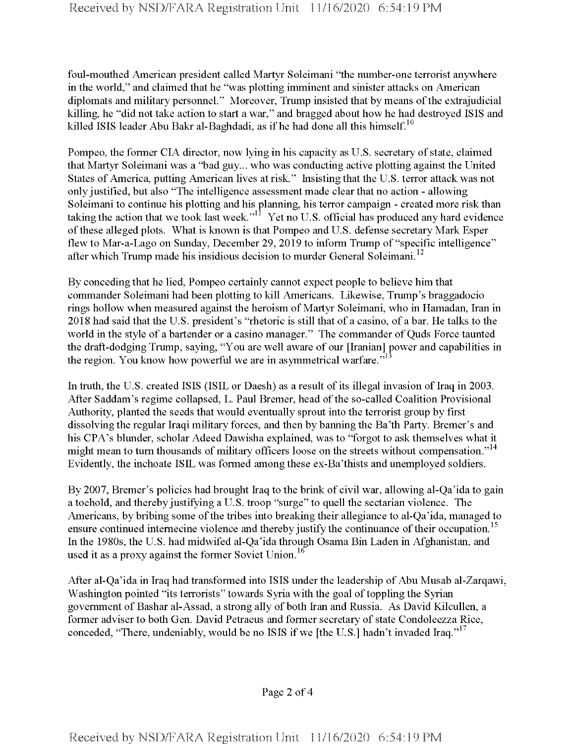foul-mouthed American president called Martyr Soleimani "the number-one terrorist anywhere in the world," and claimed that he "was plotting imminent and sinister attacks on American diplomats and military personnel." Moreover, Trump insisted that by means of the extrajudicial killing, he "did not take action to start a war," and bragged about how he had destroyed ISIS and killed ISIS leader Abu Bakr al-Baghdadi, as if he had done all this himself.<sup>10</sup>

Pompeo, the former CIA director, now lying in his capacity as U.S. secretary of state, claimed that Martyr Soleimani was a "bad guy... who was conducting active plotting against the United States of America, putting American lives at risk." Insisting that the U.S. terror attack was not onlyjustified, but also "The intelligence assessment made clear that no action - allowing Soleimani to continue his plotting and his planning, his terror campaign - created more risk than taking the action that we took last week."<sup>11</sup> Yet no U.S. official has produced any hard evidence of these alleged plots. What is known is that Pompeo and U.S. defense secretary Mark Esper flew to Mar-a-Lago on Sunday, December 29, 2019 to inform Trump of "specific intelligence" after which Trump made his insidious decision to murder General Soleimani.<sup>12</sup>

By conceding that he lied, Pompeo certainly cannot expect people to believe him that commander Soleimani had been plotting to kill Americans. Likewise, Trump's braggadocio rings hollow when measured against the heroism of Martyr Soleimani, who in Hamadan, Iran in 2018 had said that the U.S. president's "rhetoric is still that of a casino, of a bar. He talks to the world in the style of a bartender or a casino manager." The commander of Quds Force taunted the draft-dodging Trump, saying, "You are well aware of our [Iranian] power and capabilities in the region. You know how powerful we are in asymmetrical warfare."

In truth, the U.S. created ISIS (ISIL or Daesh) as a result of its illegal invasion of Iraq in 2003. After Saddam's regime collapsed, L. Paul Bremer, head of the so-called Coalition Provisional Authority, planted the seeds that would eventually sprout into the terrorist group by first dissolving the regular Iraqi military forces, and then by banning the Ba'th Party. Bremer's and his CPA's blunder, scholar Adeed Dawisha explained, was to "forgot to ask themselves what it might mean to turn thousands of military officers loose on the streets without compensation."<sup>14</sup> Evidently, the inchoate ISIL was formed among these ex-Ba'thists and unemployed soldiers.

By 2007, Bremer's policies had brought Iraq to the brink of civil war, allowing al-Qa'ida to gain a toehold, and thereby justifying a U.S. troop "surge" to quell the sectarian violence. The Americans, by bribing some of the tribes into breaking their allegiance to al-Qa'ida, managed to ensure continued internecine violence and thereby justify the continuance of their occupation.<sup>15</sup> In the 1980s, the U.S. had midwifed al-Qa'ida through Osama Bin Laden in Afghanistan, and used it as a proxy against the former Soviet Union.<sup>16</sup>

After al-Qa'ida in Iraq had transformed into ISIS under the leadership of Abu Musab al-Zarqawi, Washington pointed "its terrorists" towards Syria with the goal of toppling the Syrian government of Bashar al-Assad, a strong ally of both Iran and Russia. As David Kilcullen, a former adviser to both Gen. David Petraeus and former secretary of state Condoleezza Rice, conceded, "There, undeniably, would be no ISIS if we [the U.S.] hadn't invaded Iraq."<sup>17</sup>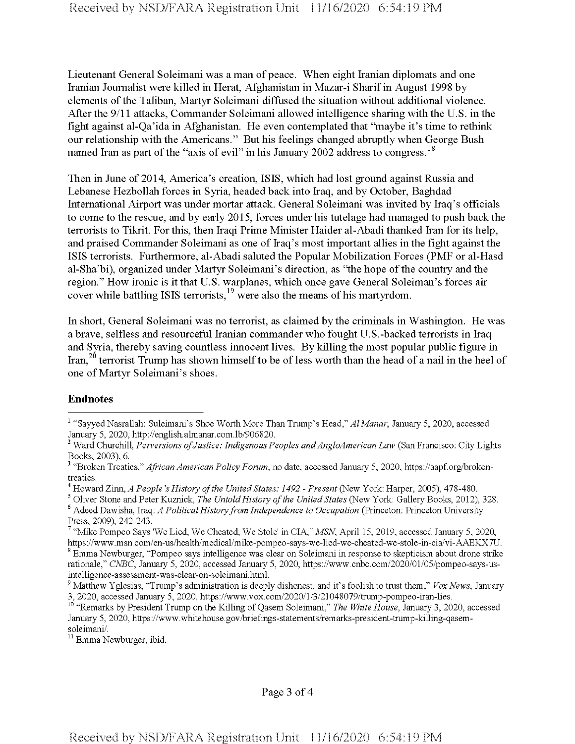Lieutenant General Soleimani was a man of peace. When eight Iranian diplomats and one Iranian Journalist were killed in Herat, Afghanistan in Mazar-i Sharifin August 1998 by elements of the Taliban, Martyr Soleimani diffused the situation without additional violence. After the 9/11 attacks, Commander Soleimani allowed intelligence sharing with the U.S. in the fight against al-Qa'ida in Afghanistan. He even contemplated that "maybe it's time to rethink our relationship with the Americans." But his feelings changed abruptly when George Bush named Iran as part of the "axis of evil" in his January 2002 address to congress.<sup>18</sup>

Then in June of 2014, America's creation, ISIS, which had lost ground against Russia and Lebanese Hezbollah forces in Syria, headed back into Iraq, and by October, Baghdad International Airport was under mortar attack. General Soleimani was invited by Iraq's officials to come to the rescue, and by early 2015, forces under his tutelage had managed to push back the terrorists to Tikrit. For this, then Iraqi Prime Minister Haider al-Abadi thanked Iran for its help, and praised Commander Soleimani as one of Iraq's most important allies in the fight against the ISIS terrorists. Furthermore, al-Abadi saluted the Popular Mobilization Forces (PMF or al-Hasd al-Sha'bi), organized under Martyr Soleimani's direction, as "the hope of the country and the region." How ironic is it that U.S. warplanes, which once gave General Soleiman's forces air cover while battling ISIS terrorists,<sup>19</sup> were also the means of his martyrdom.

In short, General Soleimani was no terrorist, as claimed by the criminals in Washington. He was a brave, selfless and resourceful Iranian commander who fought U.S.-backed terrorists in Iraq and Syria, thereby saving countless innocent lives. By killing the most popular public figure in Iran,<sup>20</sup> terrorist Trump has shown himself to be of less worth than the head of a nail in the heel of one of Martyr Soleimani's shoes.

## **Endnotes**

<sup>11</sup> Emma Newburger, ibid.

<sup>1</sup> "Sayyed Nasrallah: Suleimam's Shoe Worth More Than Trump's Head," *AlManar*, January 5, 2020, accessed January 5, 2020, http://english.almanar.com.lb/906820.

<sup>&</sup>lt;sup>2</sup> Ward Churchill, *Perversions of Justice: Indigenous Peoples and AngloAmerican Law* (San Francisco: City Lights Books, 2003), 6.

<sup>3</sup> "Broken Treaties," *African American Policy Forum*, no date, accessed January 5, 2020, https://aapf.org/brokentreaties.

<sup>4</sup> Howard Zinn, *A People's History ofthe United States: 1492 - Present* (New York: Harper, 2005), 478-480.

<sup>5</sup> Oliver Stone and Peter Kuznick, *The UntoldHistory ofthe United States* (New York: Gallery Books, 2012), 328.

<sup>6</sup> Adeed Dawisha, Iraq: *A PoliticalHistoryfrom Independence to Occupation* (Princeton: Princeton University Press, 2009), 242-243.

<sup>7</sup> "Mike Pompeo Says 'We Lied, We Cheated, We Stole' in CIA," *MSN,* April 15, 2019, accessed January 5, 2020, https://www.msn.com/en-us/health/medical/mike-pompeo-says-we-lied-we-cheated-we-stole-in-cia/vi-AAEKX7U. <sup>8</sup> Emma Newburger, "Pompeo says intelligence was clear on Soleimani in response to skepticism about drone strike rationale," *CNBC*, January 5, 2020, accessed January 5, 2020, https://www.cnbc.com/2020/01/05/pompeo-says-usintelligence-assessment-was-clear-on-soleimani.html.

<sup>9</sup> Matthew Yglesias, "Trump's administration is deeply dishonest, and it's foolishto trustthem," *Vox News,* January 3, 2020, accessed January 5, 2020, https://www.vox.eom/2020/l/3/21048079/ttump-pompeo-iran-lies.

<sup>10</sup> "Remarks by President Trump on the Killing of Qasem Soleimani," *The White House*, January 3, 2020, accessed January 5, 2020, https://www.whitehouse.gov/briefings-statements/remarks-president-ttump-killing-qasemsoleimani/.